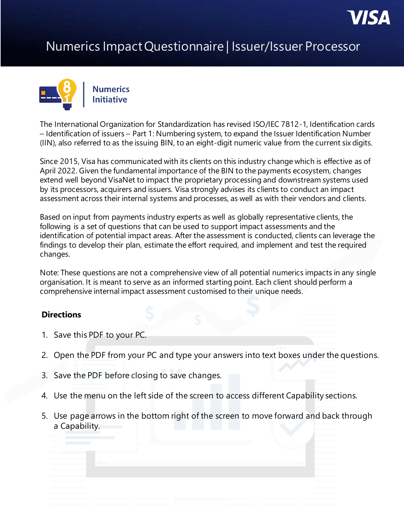

## Numerics Impact Questionnaire | Issuer/Issuer Processor



The International Organization for Standardization has revised ISO/IEC 7812-1, Identification cards – Identification of issuers – Part 1: Numbering system, to expand the Issuer Identification Number (IIN), also referred to as the issuing BIN, to an eight-digit numeric value from the current six digits.

Since 2015, Visa has communicated with its clients on this industry change which is effective as of April 2022. Given the fundamental importance of the BIN to the payments ecosystem, changes extend well beyond VisaNet to impact the proprietary processing and downstream systems used by its processors, acquirers and issuers. Visa strongly advises its clients to conduct an impact assessment across their internal systems and processes, as well as with their vendors and clients.

Based on input from payments industry experts as well as globally representative clients, the following is a set of questions that can be used to support impact assessments and the identification of potential impact areas. After the assessment is conducted, clients can leverage the findings to develop their plan, estimate the effort required, and implement and test the required changes.

Note: These questions are not a comprehensive view of all potential numerics impacts in any single organisation. It is meant to serve as an informed starting point. Each client should perform a comprehensive internal impact assessment customised to their unique needs.

## **Directions**

- 1. Save this PDF to your PC.
- 2. Open the PDF from your PC and type your answers into text boxes under the questions.
- 3. Save the PDF before closing to save changes.
- 4. Use the menu on the left side of the screen to access different Capability sections.
- 5. Use page arrows in the bottom right of the screen to move forward and back through a Capability.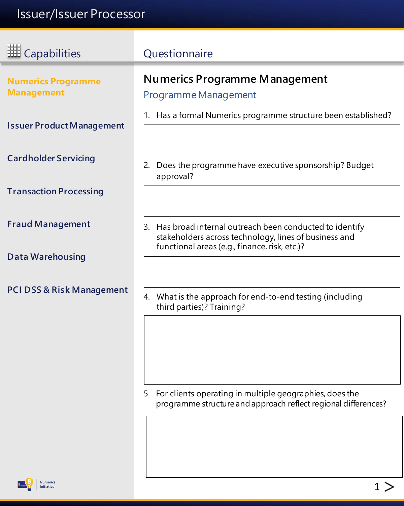<span id="page-1-0"></span>

| <b>HE</b> Capabilities                         | Questionnaire                                                                                                      |
|------------------------------------------------|--------------------------------------------------------------------------------------------------------------------|
| <b>Numerics Programme</b><br><b>Management</b> | <b>Numerics Programme Management</b><br>Programme Management                                                       |
| <b>Issuer Product Management</b>               | 1. Has a formal Numerics programme structure been established?                                                     |
| <b>Cardholder Servicing</b>                    | Does the programme have executive sponsorship? Budget<br>2.<br>approval?                                           |
| <b>Transaction Processing</b>                  |                                                                                                                    |
| <b>Fraud Management</b>                        | 3. Has broad internal outreach been conducted to identify<br>stakeholders across technology, lines of business and |
| <b>Data Warehousing</b>                        | functional areas (e.g., finance, risk, etc.)?                                                                      |
| <b>PCI DSS &amp; Risk Management</b>           | 4. What is the approach for end-to-end testing (including<br>third parties)? Training?                             |
|                                                |                                                                                                                    |

5. For clients operating in multiple geographies, does the programme structure and approach reflect regional differences?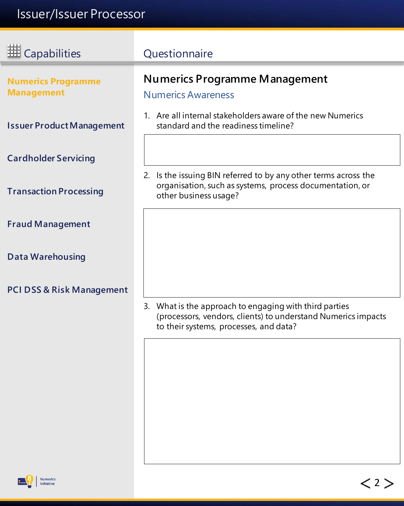<span id="page-2-0"></span>

| <b>HE Capabilities</b>                         | Questionnaire                                                                                                                                                     |
|------------------------------------------------|-------------------------------------------------------------------------------------------------------------------------------------------------------------------|
| <b>Numerics Programme</b><br><b>Management</b> | <b>Numerics Programme Management</b><br><b>Numerics Awareness</b>                                                                                                 |
| <b>Issuer Product Management</b>               | 1. Are all internal stakeholders aware of the new Numerics<br>standard and the readiness timeline?                                                                |
| <b>Cardholder Servicing</b>                    |                                                                                                                                                                   |
| <b>Transaction Processing</b>                  | 2. Is the issuing BIN referred to by any other terms across the<br>organisation, such as systems, process documentation, or<br>other business usage?              |
| <b>Fraud Management</b>                        |                                                                                                                                                                   |
| <b>Data Warehousing</b>                        |                                                                                                                                                                   |
| <b>PCI DSS &amp; Risk Management</b>           |                                                                                                                                                                   |
|                                                | 3. What is the approach to engaging with third parties<br>(processors, vendors, clients) to understand Numerics impacts<br>to their systems, processes, and data? |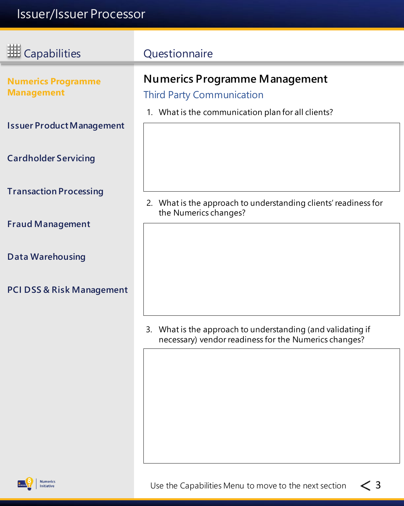ī

| <b>HE Capabilities</b>                         | Questionnaire                                                                                                        |
|------------------------------------------------|----------------------------------------------------------------------------------------------------------------------|
| <b>Numerics Programme</b><br><b>Management</b> | <b>Numerics Programme Management</b><br><b>Third Party Communication</b>                                             |
| <b>Issuer Product Management</b>               | 1. What is the communication plan for all clients?                                                                   |
| <b>Cardholder Servicing</b>                    |                                                                                                                      |
| <b>Transaction Processing</b>                  | 2. What is the approach to understanding clients' readiness for<br>the Numerics changes?                             |
| <b>Fraud Management</b>                        |                                                                                                                      |
| <b>Data Warehousing</b>                        |                                                                                                                      |
| PCI DSS & Risk Management                      |                                                                                                                      |
|                                                | 3. What is the approach to understanding (and validating if<br>necessary) vendor readiness for the Numerics changes? |
|                                                |                                                                                                                      |

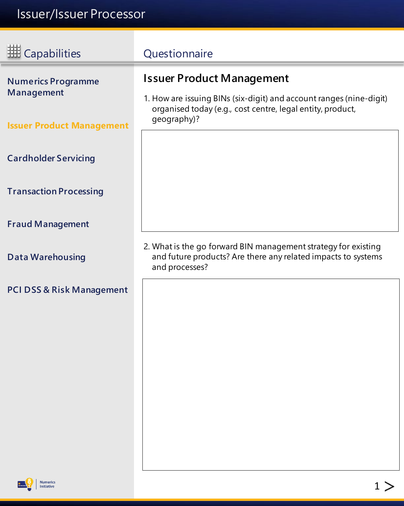<span id="page-4-0"></span>

| <b>III</b> Capabilities                                                     | Questionnaire                                                                                                                                                                        |
|-----------------------------------------------------------------------------|--------------------------------------------------------------------------------------------------------------------------------------------------------------------------------------|
| <b>Numerics Programme</b><br>Management<br><b>Issuer Product Management</b> | <b>Issuer Product Management</b><br>1. How are issuing BINs (six-digit) and account ranges (nine-digit)<br>organised today (e.g., cost centre, legal entity, product,<br>geography)? |
| <b>Cardholder Servicing</b>                                                 |                                                                                                                                                                                      |
| <b>Transaction Processing</b>                                               |                                                                                                                                                                                      |
| <b>Fraud Management</b>                                                     |                                                                                                                                                                                      |
| <b>Data Warehousing</b>                                                     | 2. What is the go forward BIN management strategy for existing<br>and future products? Are there any related impacts to systems<br>and processes?                                    |
| <b>PCI DSS &amp; Risk Management</b>                                        |                                                                                                                                                                                      |
|                                                                             |                                                                                                                                                                                      |
|                                                                             |                                                                                                                                                                                      |
|                                                                             |                                                                                                                                                                                      |
|                                                                             |                                                                                                                                                                                      |
|                                                                             |                                                                                                                                                                                      |



**Numerics**<br>Initiative

 $1 >$  $1 >$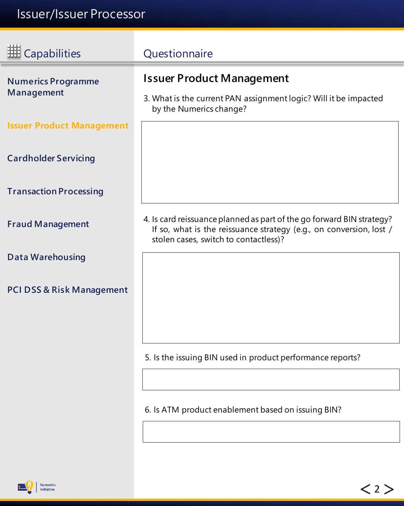$\equiv$ 

<span id="page-5-0"></span>

| <b>ED</b> Capabilities                         | Questionnaire                                                                                                                                                                         |
|------------------------------------------------|---------------------------------------------------------------------------------------------------------------------------------------------------------------------------------------|
| <b>Numerics Programme</b><br><b>Management</b> | <b>Issuer Product Management</b><br>3. What is the current PAN assignment logic? Will it be impacted<br>by the Numerics change?                                                       |
| <b>Issuer Product Management</b>               |                                                                                                                                                                                       |
| <b>Cardholder Servicing</b>                    |                                                                                                                                                                                       |
| <b>Transaction Processing</b>                  |                                                                                                                                                                                       |
| <b>Fraud Management</b>                        | 4. Is card reissuance planned as part of the go forward BIN strategy?<br>If so, what is the reissuance strategy (e.g., on conversion, lost /<br>stolen cases, switch to contactless)? |
| <b>Data Warehousing</b>                        |                                                                                                                                                                                       |
| <b>PCI DSS &amp; Risk Management</b>           |                                                                                                                                                                                       |
|                                                |                                                                                                                                                                                       |
|                                                | 5. Is the issuing BIN used in product performance reports?                                                                                                                            |
|                                                |                                                                                                                                                                                       |
|                                                | 6. Is ATM product enablement based on issuing BIN?                                                                                                                                    |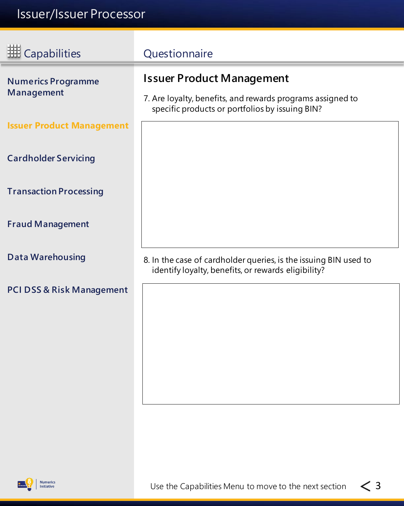| <b>HE</b> Capabilities                  | Questionnaire                                                                                                                                     |
|-----------------------------------------|---------------------------------------------------------------------------------------------------------------------------------------------------|
| <b>Numerics Programme</b><br>Management | <b>Issuer Product Management</b><br>7. Are loyalty, benefits, and rewards programs assigned to<br>specific products or portfolios by issuing BIN? |
| <b>Issuer Product Management</b>        |                                                                                                                                                   |
| <b>Cardholder Servicing</b>             |                                                                                                                                                   |
| <b>Transaction Processing</b>           |                                                                                                                                                   |
| <b>Fraud Management</b>                 |                                                                                                                                                   |
| <b>Data Warehousing</b>                 | 8. In the case of cardholder queries, is the issuing BIN used to<br>identify loyalty, benefits, or rewards eligibility?                           |
| <b>PCI DSS &amp; Risk Management</b>    |                                                                                                                                                   |
|                                         |                                                                                                                                                   |
|                                         |                                                                                                                                                   |
|                                         |                                                                                                                                                   |

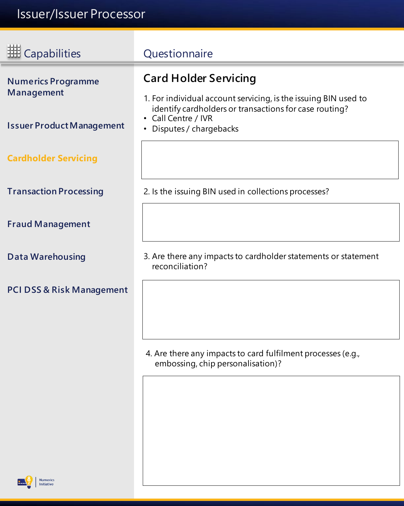E

<span id="page-7-0"></span>

| <b>III</b> Capabilities                        | Questionnaire                                                                                                                                             |
|------------------------------------------------|-----------------------------------------------------------------------------------------------------------------------------------------------------------|
| <b>Numerics Programme</b><br><b>Management</b> | <b>Card Holder Servicing</b><br>1. For individual account servicing, is the issuing BIN used to<br>identify cardholders or transactions for case routing? |
| <b>Issuer Product Management</b>               | • Call Centre / IVR<br>Disputes / chargebacks                                                                                                             |
| <b>Cardholder Servicing</b>                    |                                                                                                                                                           |
| <b>Transaction Processing</b>                  | 2. Is the issuing BIN used in collections processes?                                                                                                      |
| <b>Fraud Management</b>                        |                                                                                                                                                           |
| <b>Data Warehousing</b>                        | 3. Are there any impacts to cardholder statements or statement<br>reconciliation?                                                                         |
| <b>PCI DSS &amp; Risk Management</b>           |                                                                                                                                                           |
|                                                | 4. Are there any impacts to card fulfilment processes (e.g.,<br>embossing, chip personalisation)?                                                         |

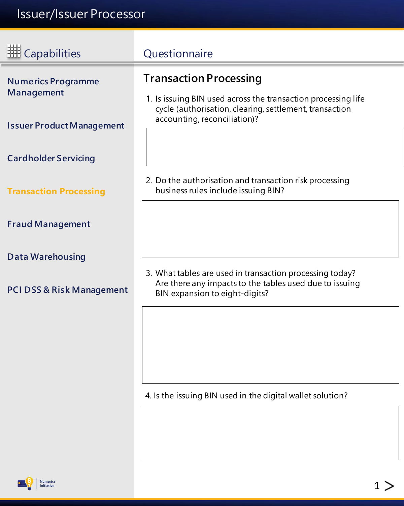<span id="page-8-0"></span>

| <b>HE Capabilities</b>                         | Questionnaire                                                                                                                                         |
|------------------------------------------------|-------------------------------------------------------------------------------------------------------------------------------------------------------|
| <b>Numerics Programme</b><br><b>Management</b> | <b>Transaction Processing</b><br>1. Is issuing BIN used across the transaction processing life                                                        |
| <b>Issuer Product Management</b>               | cycle (authorisation, clearing, settlement, transaction<br>accounting, reconciliation)?                                                               |
| <b>Cardholder Servicing</b>                    |                                                                                                                                                       |
| <b>Transaction Processing</b>                  | 2. Do the authorisation and transaction risk processing<br>business rules include issuing BIN?                                                        |
| <b>Fraud Management</b>                        |                                                                                                                                                       |
| <b>Data Warehousing</b>                        |                                                                                                                                                       |
| <b>PCI DSS &amp; Risk Management</b>           | 3. What tables are used in transaction processing today?<br>Are there any impacts to the tables used due to issuing<br>BIN expansion to eight-digits? |
|                                                |                                                                                                                                                       |

4. Is the issuing BIN used in the digital wallet solution?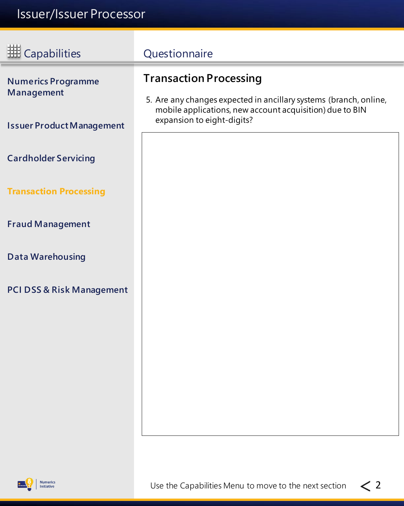<span id="page-9-0"></span>

| <b>HE</b> Capabilities                  | Questionnaire                                                                                                                                               |
|-----------------------------------------|-------------------------------------------------------------------------------------------------------------------------------------------------------------|
| <b>Numerics Programme</b><br>Management | <b>Transaction Processing</b>                                                                                                                               |
| <b>Issuer Product Management</b>        | 5. Are any changes expected in ancillary systems (branch, online,<br>mobile applications, new account acquisition) due to BIN<br>expansion to eight-digits? |
| <b>Cardholder Servicing</b>             |                                                                                                                                                             |
| <b>Transaction Processing</b>           |                                                                                                                                                             |
| <b>Fraud Management</b>                 |                                                                                                                                                             |
| <b>Data Warehousing</b>                 |                                                                                                                                                             |
| <b>PCI DSS &amp; Risk Management</b>    |                                                                                                                                                             |
|                                         |                                                                                                                                                             |
|                                         |                                                                                                                                                             |
|                                         |                                                                                                                                                             |
|                                         |                                                                                                                                                             |

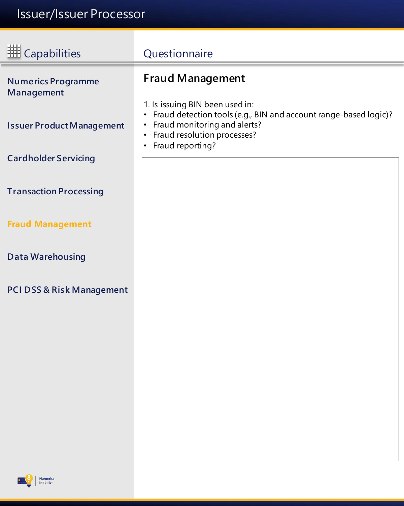<span id="page-10-0"></span>

| <b>III</b> Capabilities                 | Questionnaire                                                                                                                                                                                           |
|-----------------------------------------|---------------------------------------------------------------------------------------------------------------------------------------------------------------------------------------------------------|
| <b>Numerics Programme</b><br>Management | <b>Fraud Management</b><br>1. Is issuing BIN been used in:                                                                                                                                              |
| <b>Issuer Product Management</b>        | Fraud detection tools (e.g., BIN and account range-based logic)?<br>$\bullet$<br>Fraud monitoring and alerts?<br>$\bullet$<br>Fraud resolution processes?<br>$\bullet$<br>Fraud reporting?<br>$\bullet$ |
| <b>Cardholder Servicing</b>             |                                                                                                                                                                                                         |
| <b>Transaction Processing</b>           |                                                                                                                                                                                                         |
| <b>Fraud Management</b>                 |                                                                                                                                                                                                         |
| <b>Data Warehousing</b>                 |                                                                                                                                                                                                         |
| <b>PCI DSS &amp; Risk Management</b>    |                                                                                                                                                                                                         |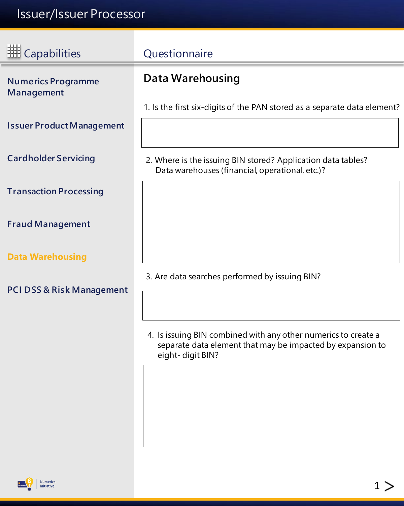## <span id="page-11-0"></span>Issuer/Issuer Processor

| <b>HE</b> Capabilities                  | Questionnaire                                                                                                                                    |
|-----------------------------------------|--------------------------------------------------------------------------------------------------------------------------------------------------|
| <b>Numerics Programme</b><br>Management | <b>Data Warehousing</b>                                                                                                                          |
|                                         | 1. Is the first six-digits of the PAN stored as a separate data element?                                                                         |
| <b>Issuer Product Management</b>        |                                                                                                                                                  |
| <b>Cardholder Servicing</b>             | 2. Where is the issuing BIN stored? Application data tables?<br>Data warehouses (financial, operational, etc.)?                                  |
| <b>Transaction Processing</b>           |                                                                                                                                                  |
| <b>Fraud Management</b>                 |                                                                                                                                                  |
| <b>Data Warehousing</b>                 |                                                                                                                                                  |
| <b>PCI DSS &amp; Risk Management</b>    | 3. Are data searches performed by issuing BIN?                                                                                                   |
|                                         | 4. Is issuing BIN combined with any other numerics to create a<br>separate data element that may be impacted by expansion to<br>eight-digit BIN? |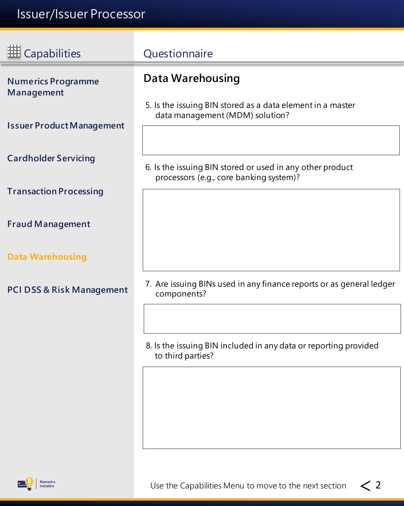<span id="page-12-0"></span>

| <b>HE Capabilities</b>                  | Questionnaire                                                                                        |
|-----------------------------------------|------------------------------------------------------------------------------------------------------|
| <b>Numerics Programme</b><br>Management | <b>Data Warehousing</b><br>5. Is the issuing BIN stored as a data element in a master                |
| <b>Issuer Product Management</b>        | data management (MDM) solution?                                                                      |
| <b>Cardholder Servicing</b>             | 6. Is the issuing BIN stored or used in any other product<br>processors (e.g., core banking system)? |
| <b>Transaction Processing</b>           |                                                                                                      |
| <b>Fraud Management</b>                 |                                                                                                      |
| <b>Data Warehousing</b>                 |                                                                                                      |
| <b>PCI DSS &amp; Risk Management</b>    | 7. Are issuing BINs used in any finance reports or as general ledger<br>components?                  |
|                                         | 8. Is the issuing BIN included in any data or reporting provided<br>to third parties?                |